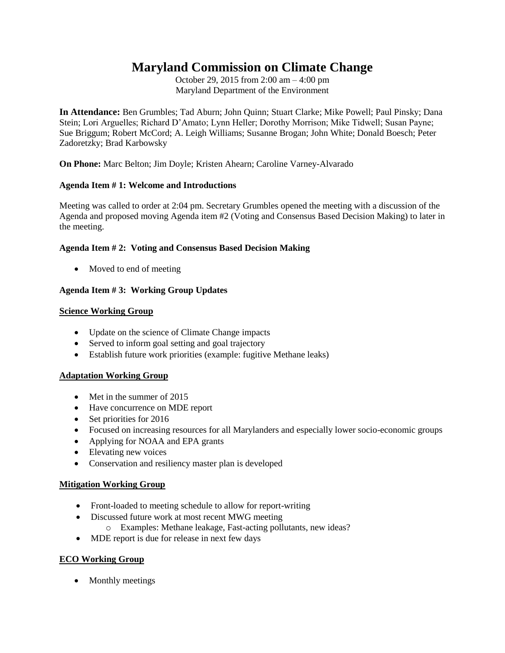# **Maryland Commission on Climate Change**

October 29, 2015 from 2:00 am – 4:00 pm Maryland Department of the Environment

**In Attendance:** Ben Grumbles; Tad Aburn; John Quinn; Stuart Clarke; Mike Powell; Paul Pinsky; Dana Stein; Lori Arguelles; Richard D'Amato; Lynn Heller; Dorothy Morrison; Mike Tidwell; Susan Payne; Sue Briggum; Robert McCord; A. Leigh Williams; Susanne Brogan; John White; Donald Boesch; Peter Zadoretzky; Brad Karbowsky

**On Phone:** Marc Belton; Jim Doyle; Kristen Ahearn; Caroline Varney-Alvarado

## **Agenda Item # 1: Welcome and Introductions**

Meeting was called to order at 2:04 pm. Secretary Grumbles opened the meeting with a discussion of the Agenda and proposed moving Agenda item #2 (Voting and Consensus Based Decision Making) to later in the meeting.

## **Agenda Item # 2: Voting and Consensus Based Decision Making**

• Moved to end of meeting

# **Agenda Item # 3: Working Group Updates**

#### **Science Working Group**

- Update on the science of Climate Change impacts
- Served to inform goal setting and goal trajectory
- Establish future work priorities (example: fugitive Methane leaks)

#### **Adaptation Working Group**

- Met in the summer of 2015
- Have concurrence on MDE report
- $\bullet$  Set priorities for 2016
- Focused on increasing resources for all Marylanders and especially lower socio-economic groups
- Applying for NOAA and EPA grants
- Elevating new voices
- Conservation and resiliency master plan is developed

#### **Mitigation Working Group**

- Front-loaded to meeting schedule to allow for report-writing
- Discussed future work at most recent MWG meeting
	- o Examples: Methane leakage, Fast-acting pollutants, new ideas?
- MDE report is due for release in next few days

#### **ECO Working Group**

• Monthly meetings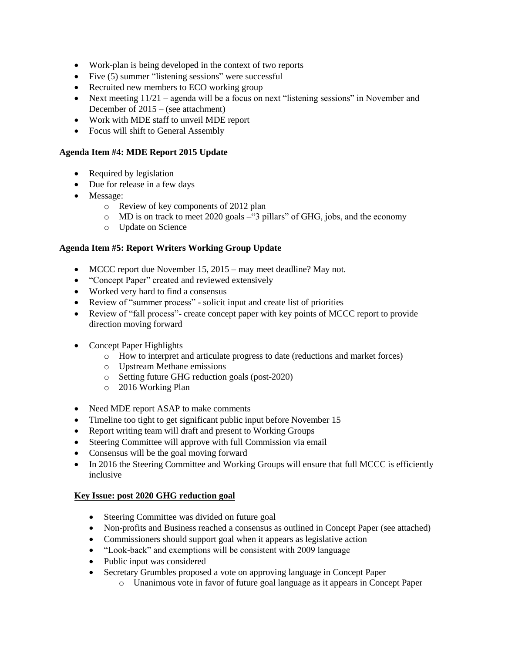- Work-plan is being developed in the context of two reports
- Five (5) summer "listening sessions" were successful
- Recruited new members to ECO working group
- Next meeting  $11/21$  agenda will be a focus on next "listening sessions" in November and December of 2015 – (see attachment)
- Work with MDE staff to unveil MDE report
- Focus will shift to General Assembly

# **Agenda Item #4: MDE Report 2015 Update**

- Required by legislation
- Due for release in a few days
- Message:
	- o Review of key components of 2012 plan
	- o MD is on track to meet 2020 goals –"3 pillars" of GHG, jobs, and the economy
	- o Update on Science

# **Agenda Item #5: Report Writers Working Group Update**

- MCCC report due November 15, 2015 may meet deadline? May not.
- "Concept Paper" created and reviewed extensively
- Worked very hard to find a consensus
- Review of "summer process" solicit input and create list of priorities
- Review of "fall process"- create concept paper with key points of MCCC report to provide direction moving forward
- Concept Paper Highlights
	- o How to interpret and articulate progress to date (reductions and market forces)
	- o Upstream Methane emissions
	- o Setting future GHG reduction goals (post-2020)
	- o 2016 Working Plan
- Need MDE report ASAP to make comments
- Timeline too tight to get significant public input before November 15
- Report writing team will draft and present to Working Groups
- Steering Committee will approve with full Commission via email
- Consensus will be the goal moving forward
- In 2016 the Steering Committee and Working Groups will ensure that full MCCC is efficiently inclusive

# **Key Issue: post 2020 GHG reduction goal**

- Steering Committee was divided on future goal
- Non-profits and Business reached a consensus as outlined in Concept Paper (see attached)
- Commissioners should support goal when it appears as legislative action
- "Look-back" and exemptions will be consistent with 2009 language
- Public input was considered
- Secretary Grumbles proposed a vote on approving language in Concept Paper
	- o Unanimous vote in favor of future goal language as it appears in Concept Paper